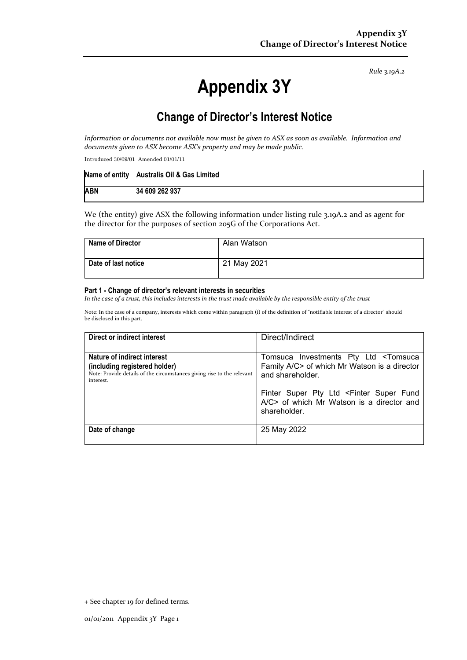*Rule 3.19A.2*

# **Appendix 3Y**

# **Change of Director's Interest Notice**

*Information or documents not available now must be given to ASX as soon as available. Information and documents given to ASX become ASX's property and may be made public.* 

Introduced 30/09/01 Amended 01/01/11

|            | Name of entity Australis Oil & Gas Limited |
|------------|--------------------------------------------|
| <b>ABN</b> | 34 609 262 937                             |

We (the entity) give ASX the following information under listing rule 3.19A.2 and as agent for the director for the purposes of section 205G of the Corporations Act.

| <b>Name of Director</b> | Alan Watson |
|-------------------------|-------------|
| Date of last notice     | 21 May 2021 |

#### **Part 1 - Change of director's relevant interests in securities**

In the case of a trust, this includes interests in the trust made available by the responsible entity of the trust

Note: In the case of a company, interests which come within paragraph (i) of the definition of "notifiable interest of a director" should be disclosed in this part.

| Direct or indirect interest                                                                                                                         | Direct/Indirect                                                                                                           |
|-----------------------------------------------------------------------------------------------------------------------------------------------------|---------------------------------------------------------------------------------------------------------------------------|
| Nature of indirect interest<br>(including registered holder)<br>Note: Provide details of the circumstances giving rise to the relevant<br>interest. | Tomsuca Investments Pty Ltd <tomsuca<br>Family A/C&gt; of which Mr Watson is a director<br/>and shareholder.</tomsuca<br> |
|                                                                                                                                                     | Finter Super Pty Ltd <finter fund<br="" super="">A/C&gt; of which Mr Watson is a director and<br/>shareholder.</finter>   |
| Date of change                                                                                                                                      | 25 May 2022                                                                                                               |

<sup>+</sup> See chapter 19 for defined terms.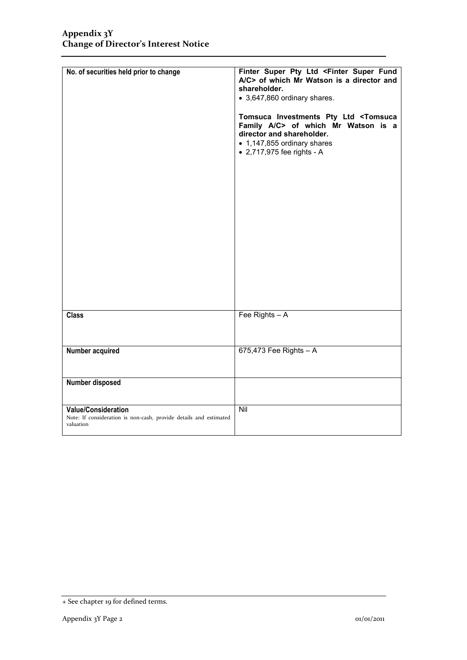| No. of securities held prior to change                                                                       | Finter Super Pty Ltd <finter fund<br="" super="">A/C&gt; of which Mr Watson is a director and<br/>shareholder.<br/>• 3,647,860 ordinary shares.<br/>Tomsuca Investments Pty Ltd <tomsuca<br>Family A/C&gt; of which Mr Watson is a<br/>director and shareholder.<br/>• 1,147,855 ordinary shares<br/>• 2,717,975 fee rights - A</tomsuca<br></finter> |
|--------------------------------------------------------------------------------------------------------------|-------------------------------------------------------------------------------------------------------------------------------------------------------------------------------------------------------------------------------------------------------------------------------------------------------------------------------------------------------|
| <b>Class</b>                                                                                                 | Fee Rights $- A$                                                                                                                                                                                                                                                                                                                                      |
| Number acquired                                                                                              | 675,473 Fee Rights $- A$                                                                                                                                                                                                                                                                                                                              |
| Number disposed                                                                                              |                                                                                                                                                                                                                                                                                                                                                       |
| <b>Value/Consideration</b><br>Note: If consideration is non-cash, provide details and estimated<br>valuation | Nil                                                                                                                                                                                                                                                                                                                                                   |

<sup>+</sup> See chapter 19 for defined terms.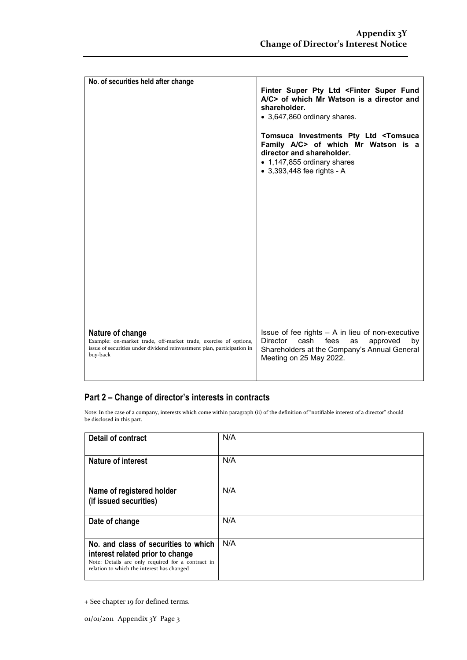| No. of securities held after change                                                                                                                                        |                                                                                                                                                                                                                                                                                        |
|----------------------------------------------------------------------------------------------------------------------------------------------------------------------------|----------------------------------------------------------------------------------------------------------------------------------------------------------------------------------------------------------------------------------------------------------------------------------------|
|                                                                                                                                                                            | Finter Super Pty Ltd <finter fund<br="" super="">A/C&gt; of which Mr Watson is a director and<br/>shareholder.<br/>• 3,647,860 ordinary shares.<br/>Tomsuca Investments Pty Ltd <tomsuca<br>Family A/C&gt; of which Mr Watson is a<br/>director and shareholder.</tomsuca<br></finter> |
|                                                                                                                                                                            | • 1,147,855 ordinary shares<br>• 3,393,448 fee rights - A                                                                                                                                                                                                                              |
|                                                                                                                                                                            |                                                                                                                                                                                                                                                                                        |
|                                                                                                                                                                            |                                                                                                                                                                                                                                                                                        |
| Nature of change<br>Example: on-market trade, off-market trade, exercise of options,<br>issue of securities under dividend reinvestment plan, participation in<br>buy-back | Issue of fee rights $- A$ in lieu of non-executive<br>fees<br><b>Director</b><br>cash<br>as<br>approved<br>by<br>Shareholders at the Company's Annual General<br>Meeting on 25 May 2022.                                                                                               |

### **Part 2 – Change of director's interests in contracts**

Note: In the case of a company, interests which come within paragraph (ii) of the definition of "notifiable interest of a director" should be disclosed in this part.

| <b>Detail of contract</b>                                                                                                                                                   | N/A |  |
|-----------------------------------------------------------------------------------------------------------------------------------------------------------------------------|-----|--|
| <b>Nature of interest</b>                                                                                                                                                   | N/A |  |
| Name of registered holder<br>(if issued securities)                                                                                                                         | N/A |  |
| Date of change                                                                                                                                                              | N/A |  |
| No. and class of securities to which<br>interest related prior to change<br>Note: Details are only required for a contract in<br>relation to which the interest has changed | N/A |  |

<sup>+</sup> See chapter 19 for defined terms.